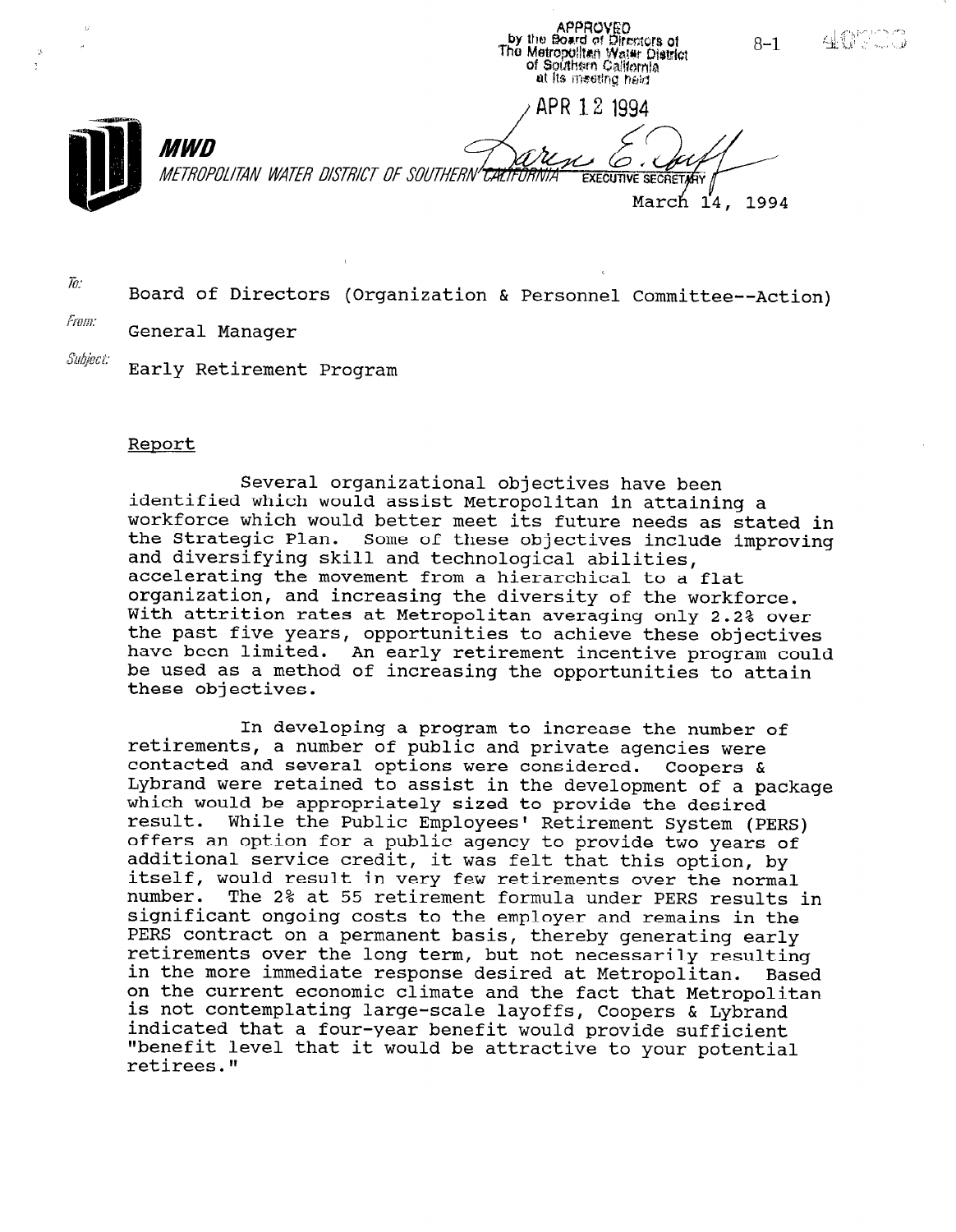APPROVED<br>by the Board of Directors of<br>The Metropolitan Water District<br>of Southsen California  $8 - 1$ at its meeting haid. APR 1.2 1994 *MWD* METROPOLITAN WATER DISTRICT OF SOUTHERN'CALIFORNIA **EXECUTIVE SECRETARY** March 14, 1994

40000

 $\bar{h}$ : Board of Directors (Organization & Personnel Committee--Action)

From: General Manager

Subjeci: Early Retirement Program

#### Report

Several organizational objectives have been identified which would assist Metropolitan in attaining a workforce which would better meet its future needs as stated in the Strategic Plan. Some of these objectives include improving and diversifying skill and technological abilities, accelerating the movement from a hierarchical to a flat organization, and increasing the diversity of the workforce. With attrition rates at Metropolitan averaging only 2.2% over the past five years, opportunities to achieve these objective have been limited. An early retirement incentive program could be used as a method of increasing the opportunities to attain these objectives.

In developing a program to increase the number of retirements, a number of public and private agencies were contacted and several options were considered. Coopers & Lybrand were retained to assist in the development of a package which would be appropriately sized to provide the desired result. While the Public Employees' Retirement System (PERS) offers an option for a public agency to provide two years of additional service credit, it was felt that this option, by addreibhdi berviol breart, it was fert that this operun, by number. The 2% at 55 retirement formula under PERS results in significant ongoing costs to the employer and remains in the PERS contract on a permanent basis, thereby generating early retirements over the long term, but not necessarily resulting in the more immediate response desired at Metropolitan. Based on the current economic climate and the fact that Metropolitan on the current economic crimate and the ract that metropol indicated that a four-year benefit would provide sufficient indicated that a four-year benefit would provide sufficient<br>"benefit level that it would be attractive to your potential retirees."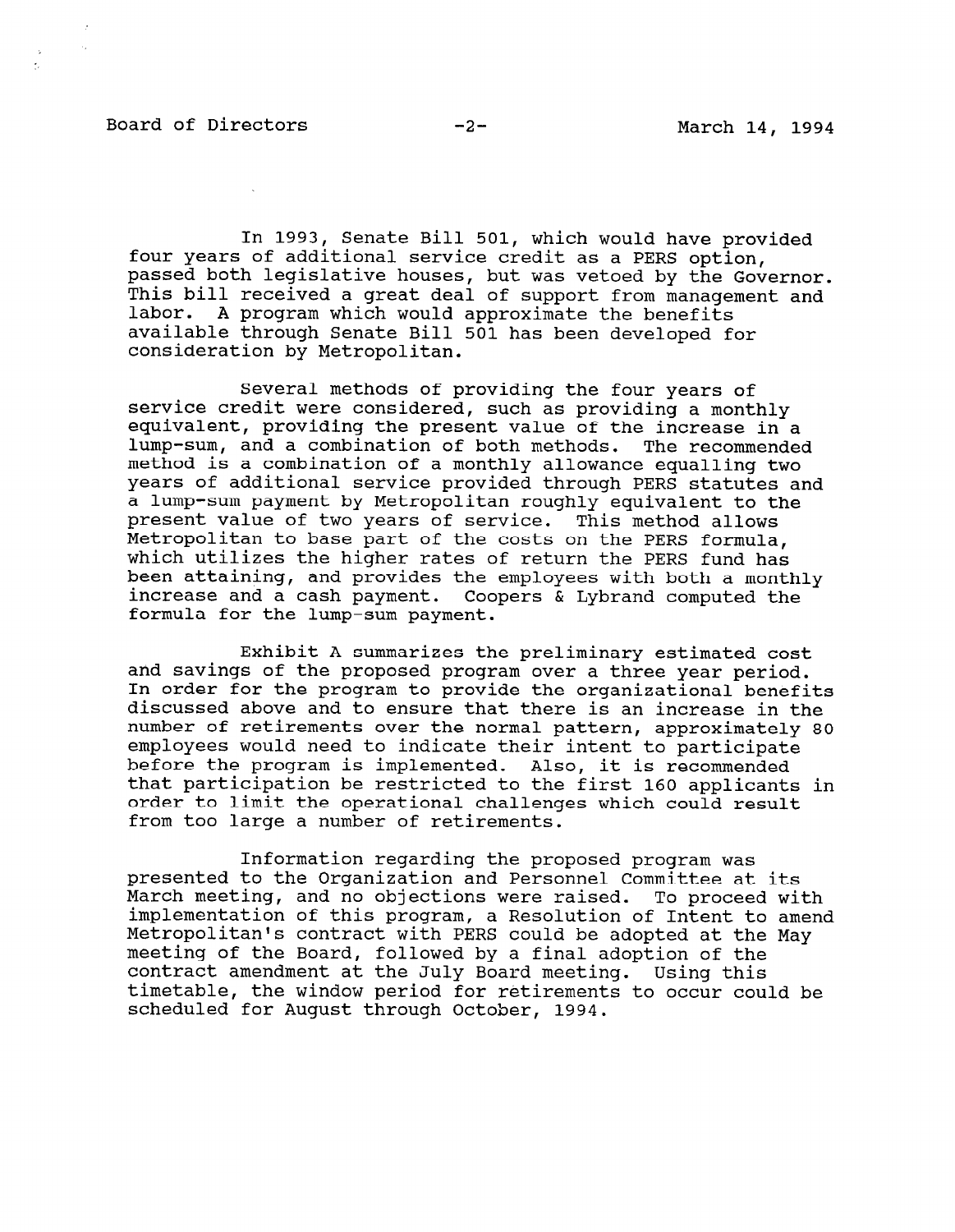#### Board of Directors -2- March 14, 1994

 $\mathbf{z}_i$ 

 $\sim$ 

 $\sim$ 

In 1993, Senate Bill 501, which would have provided four years of additional service credit as a PERS option, passed both legislative houses, but was vetoed by the Governor. This bill received a great deal of support from management and labor. A program which would approximate the benefits available through Senate Bill 501 has been developed for consideration by Metropolitan.

Several methods of providing the four years of service credit were considered, such as providing a monthly equivalent, providing the present value of the increase in a lump-sum, and a combination of both methods. The recommended method is a combination of a monthly allowance equalling two years of additional service provided through PERS statutes and a lump-sum payment by Metropolitan roughly equivalent to the present value of two years of service. This method allows Metropolitan to base part of the costs on the PERS formula, which utilizes the higher rates of return the PERS fund has been attaining, and provides the employees with both a monthly increase and a cash payment. Coopers & Lybrand computed the formula for the lump-sum payment.

Exhibit A summarizes the preliminary estimated cost and savings of the proposed program over a three year period. In order for the program to provide the organizational benefits discussed above and to ensure that there is an increase in the number of retirements over the normal pattern, approximately 80 employees would need to indicate their intent to participate before the program is implemented. Also, it is recommended that participation be restricted to the first 160 applicants in order to limit the operational challenges which could result from too large a number of retirements.

Information regarding the proposed program was presented to the Organization and Personnel Committee at its March meeting, and no objections were raised. To proceed with match meeting, and no objections were faised. To proceed with<br>implementation of this program, a Besolution of Intent to amend implementation of this program, a Resolution of Intent to amend<br>Metropolitan's contract with PERS could be adopted at the May meeting of the Board, followed by a final adoption of the contract amendment at the July Board meeting. Using this timetable, the window period for retirements to occur could be scheduled for August through October, 1994.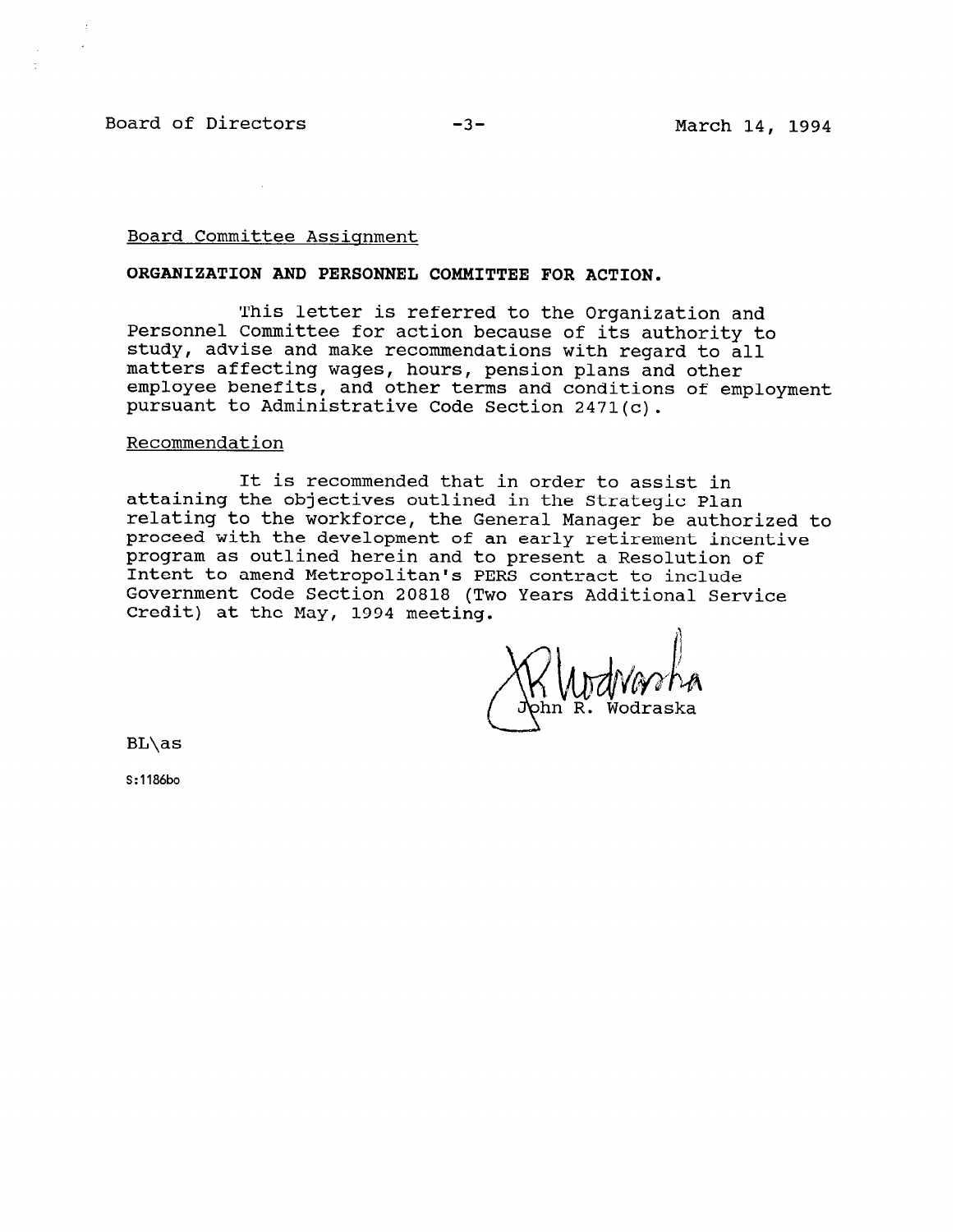Board of Directors -3- Formulation -3- March 14, 1994

#### Board Committee Assignment

#### ORGANIZATION AND PERSONNEL COMMITTEE FOR ACTION.

This letter is referred to the Organization and Personnel Committee for action because of its authority to study, advise and make recommendations with regard to all matters affecting wages, hours, pension plans and other employee benefits, and other terms and conditions of employment pursuant to Administrative Code Section 2471(c).

#### Recommendation

It is recommended that in order to assist in attaining the objectives outlined in the Strategic Plan relating to the workforce, the General Manager be authorized to proceed with the development of an early retirement incentive program as outlined herein and to present a Resolution of Intent to amend Metropolitan's PERS contract to include Government Code Section 20818 (Two Years Additional Service Credit) at the May, 1994 meeting.

Wodraska

BL\as

S:1186bo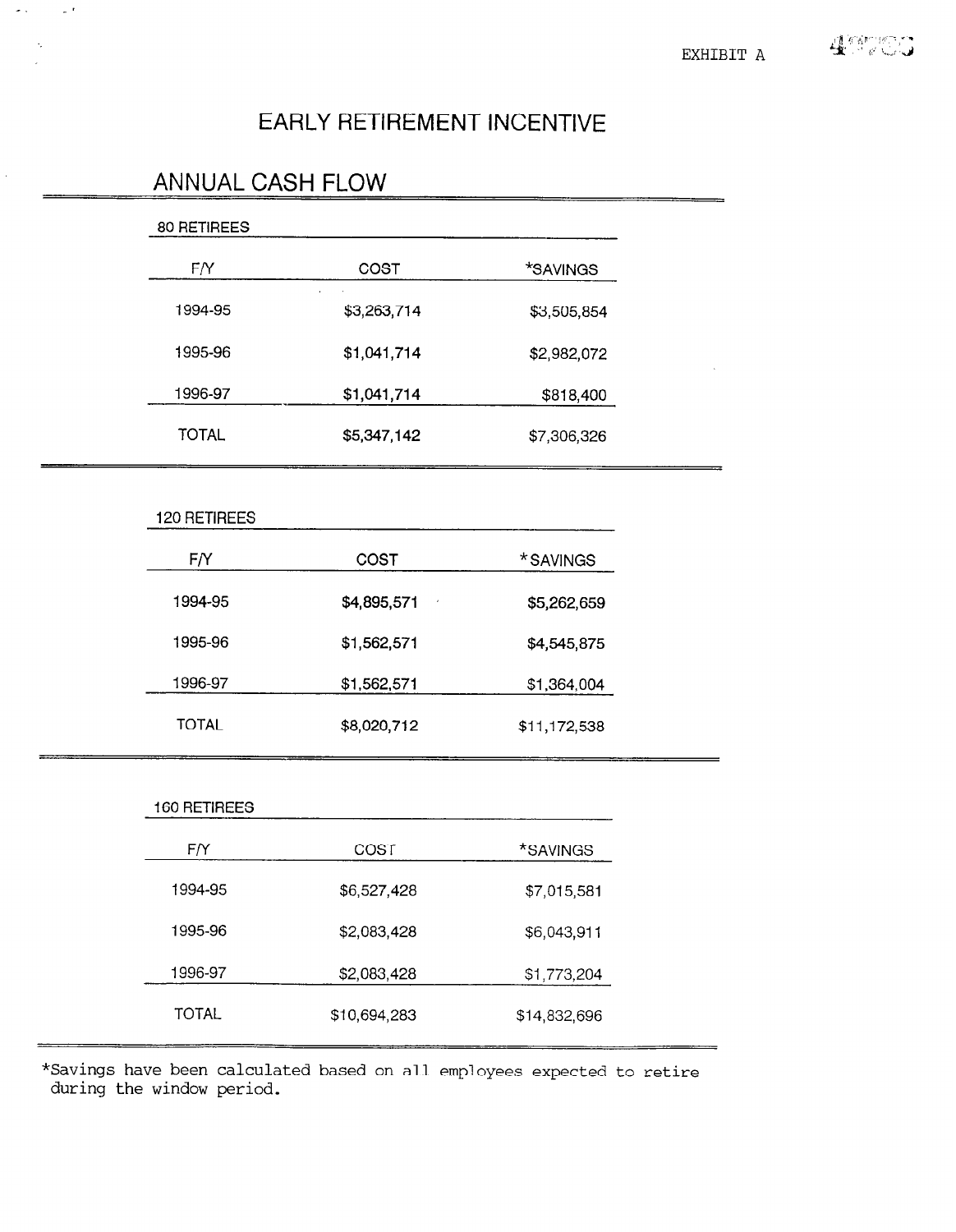# EARLY RETIREMENT INCENTIVE

# 80 RETIREES F/Y COST \*SAVINGS 1994-95 \$3,263,714 \$3,505,854 1995-96 \$1,041,714 \$2,982,072 1996-97 \$1,041,714 \$818,400 TOTAL \$5,347,142 \$7,306,326 120 RETIREES F/Y COST \*SAVINGS 1994-95 \$4,895,571 \$5,262,659 1995-96 \$1,562,571 \$4,545,875 1996-97 \$1,562,571 \$1,364,004 TOTAL \$8,020,712 \$11,172,538 160 RETIREES F/Y COST \*SAVINGS 1994-95 \$6,527,428 \$7,015,581  $1995.96$   $199.793$   $199.799$   $199.799$

ANNUAL CASH FLOW

\*Savings have been calculated based on all employees expected to retire during the window period.

1996-97 \$2,083,428 \$1,773,204

TOTAL \$10,694,283 \$14,832,696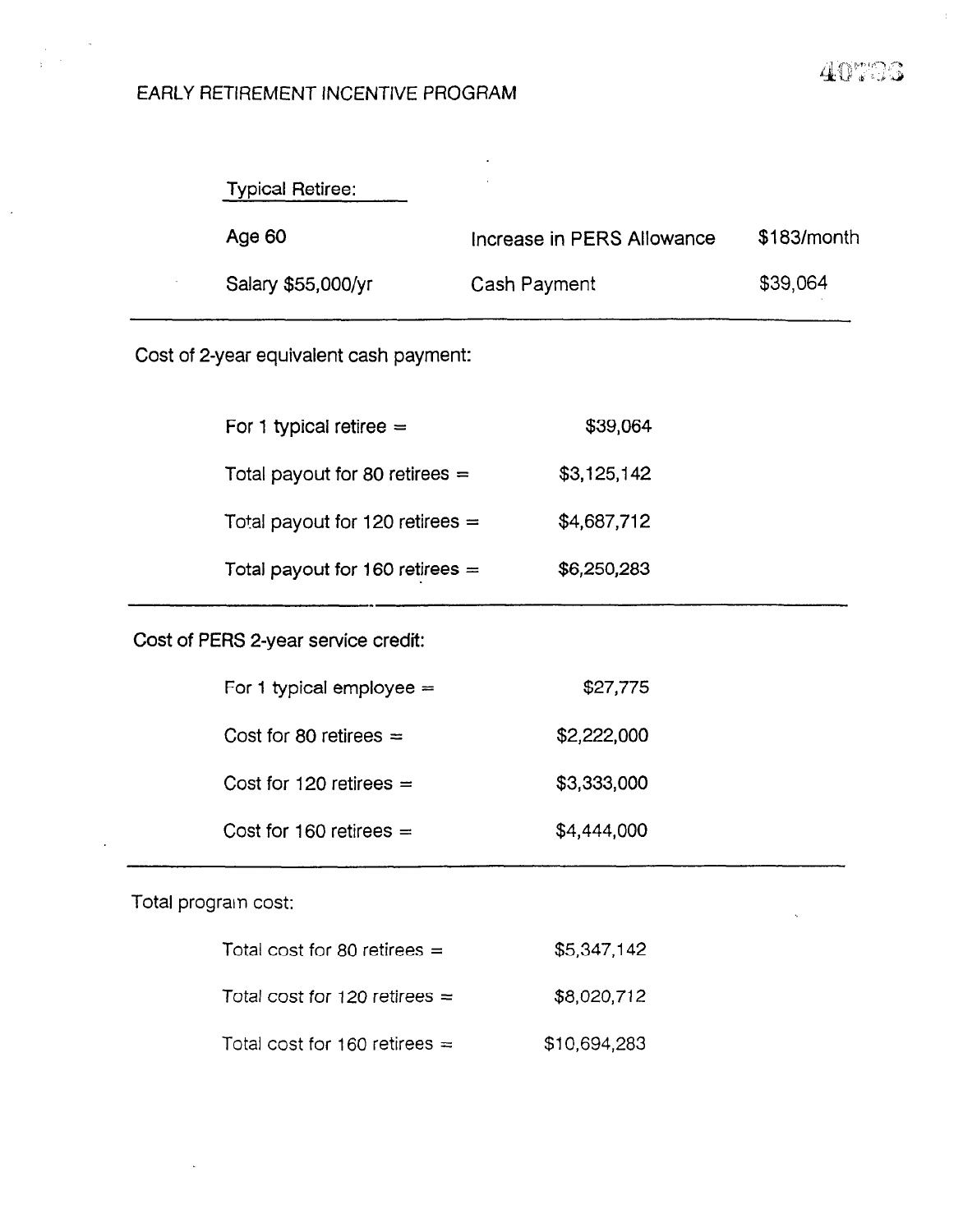# 41) .

l.

#### EARLY RETIREMENT INCENTIVE PROGRAM

| <b>Typical Retiree:</b> |                            |               |
|-------------------------|----------------------------|---------------|
| Age 60                  | Increase in PERS Allowance | $$183/m$ onth |
| Salary \$55,000/yr      | Cash Payment               | \$39,064      |

.<br>1981 - 1982 - John Bergman, mengharang bermula pada terhadap kemudian di sebagai pada terhadap di Perance Lan

Cost of 2-year equivalent cash payment:

| For 1 typical retiree $=$         | \$39,064    |
|-----------------------------------|-------------|
| Total payout for 80 retirees $=$  | \$3,125,142 |
| Total payout for 120 retirees $=$ | \$4,687,712 |
| Total payout for 160 retirees $=$ | \$6,250,283 |

## Cost of PERS 2-year service credit:

| For 1 typical employee $=$ | \$27,775    |
|----------------------------|-------------|
| Cost for 80 retirees $=$   | \$2,222,000 |
| Cost for 120 retirees $=$  | \$3,333,000 |
| Cost for 160 retirees $=$  | \$4,444,000 |

### Total prograin cost:

| Total cost for 80 retirees $=$  | \$5,347,142  |
|---------------------------------|--------------|
| Total cost for 120 retirees $=$ | \$8,020,712  |
| Total cost for 160 retirees $=$ | \$10,694,283 |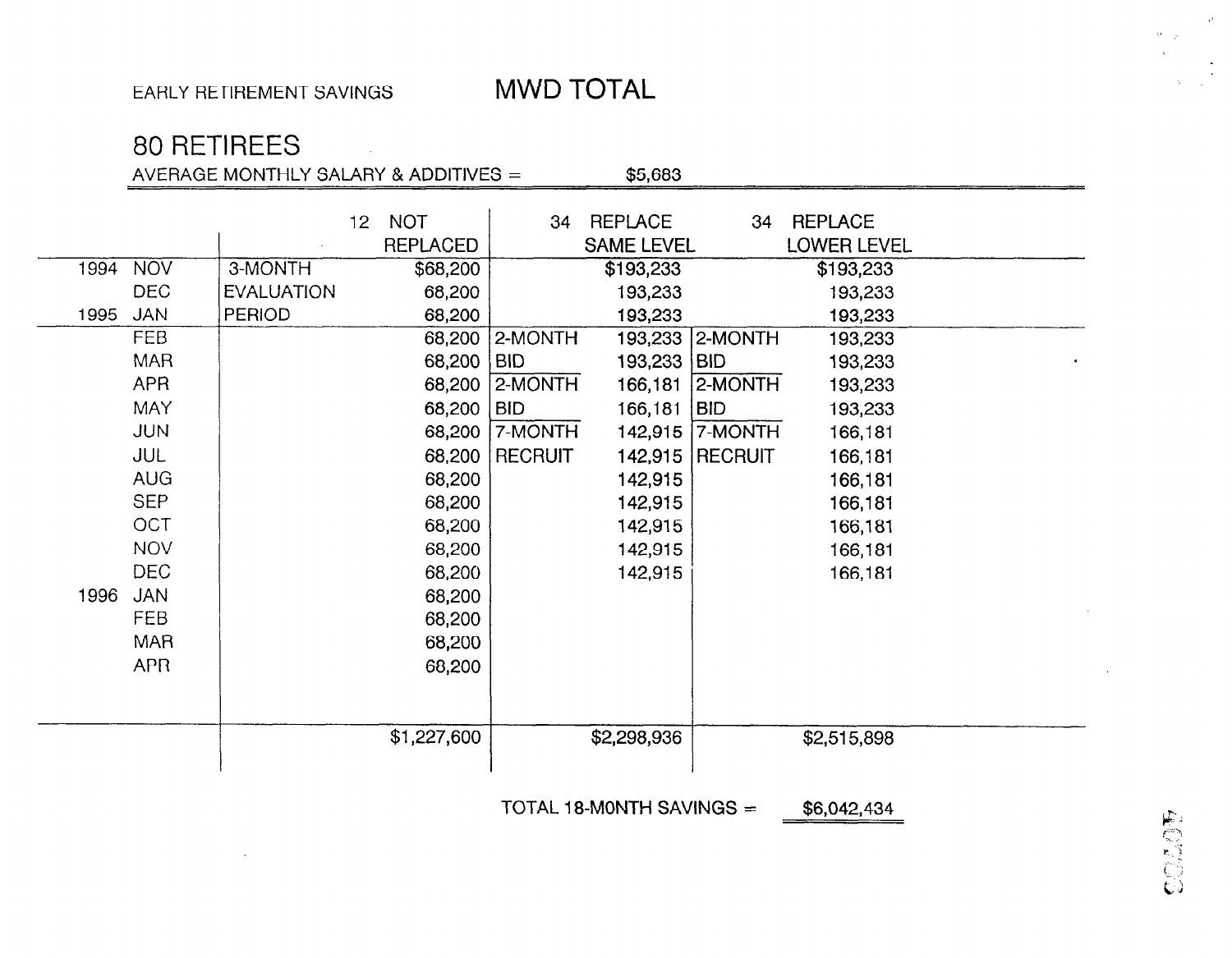# 80 RETIREES

AVERAGE MONTHLY SALARY & ADDITIVES  $=$  \$5,683

1994 NOV 3-MONTH \$68,200 DEC EVALUATION 68,200 1995 JAN 'ERIOD 68,200 FEB 68,200 MAR 68,200 APR 68,200 MAY 68,200 JUN 68,200 JUL 68,200 AUG 88,200 SEP | 68,200 OCT | 68,200 NOV 68,200 DEC 38,200 1996 JAN | 68,200 FEB 88,200 MAR 68,200 APR 68,200 12 NOT REPLACED \$1,227,600 34 REPLACE 34 REPLACE SAME LEVEL LOWER LEVEL \$193,233 193,233 193,233  $2-MONTH$ BID 193,233 BID  $2-MONTH$ |BID 166,181 | BID 7-MONTH  $\,$  RECRUIT  $\,$ 142,915 142,915 142,915 142,915 142,915 \$2,298,936 \$193,233 193,233 193,233 193,233 2-MONTH 193,233 193,233 166,181 2-MONTH 193,233 193,233 142,915 7-MONTH 166,181 142.915 RECRUIT 166.181 166,181 166,181 166,181 166,181 166,181 \$2,515,898

TOTAL 18-MONTH SAVINGS  $=$  \$6,042,434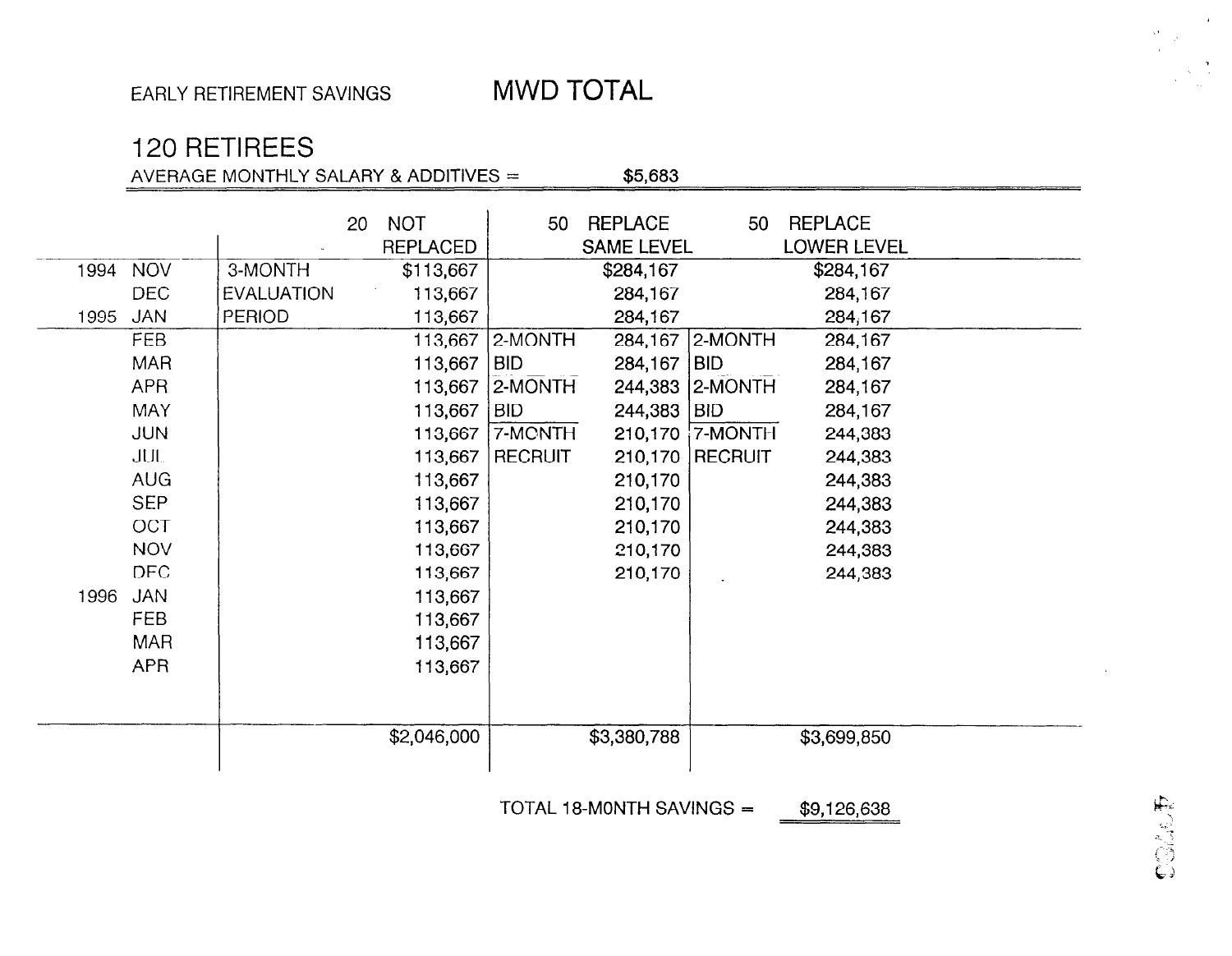# 120 RETIREES

AVERAGE MONTHLY SALARY & ADDITIVES  $=$  \$5,683

|      |            |                   | 20 <sub>1</sub> | <b>NOT</b>      | 50                | REPLACE           | 50                    | <b>REPLACE</b>     |  |
|------|------------|-------------------|-----------------|-----------------|-------------------|-------------------|-----------------------|--------------------|--|
|      |            |                   |                 | <b>REPLACED</b> |                   | <b>SAME LEVEL</b> |                       | <b>LOWER LEVEL</b> |  |
| 1994 | <b>NOV</b> | 3-MONTH           |                 | \$113,667       |                   | \$284,167         |                       | \$284,167          |  |
|      | <b>DEC</b> | <b>EVALUATION</b> |                 | 113,667         |                   | 284,167           |                       | 284,167            |  |
| 1995 | <b>JAN</b> | <b>PERIOD</b>     |                 | 113,667         |                   | 284,167           |                       | 284,167            |  |
|      | <b>FEB</b> |                   |                 |                 | 113,667   2-MONTH | 284,167           | 2-MONTH               | 284,167            |  |
|      | <b>MAR</b> |                   |                 | $113,667$   BID |                   | 284,167           | BID                   | 284,167            |  |
|      | <b>APR</b> |                   |                 |                 | 113,667   2-MONTH | 244,383           | 2-MONTH               | 284,167            |  |
|      | <b>MAY</b> |                   |                 | 113,667   BID   |                   | 244,383           | <b>BID</b>            | 284,167            |  |
|      | <b>JUN</b> |                   |                 |                 | 113,667   7-MONTH | 210,170           | $\frac{1}{1}$ 7-MONTH | 244,383            |  |
|      | <b>JUL</b> |                   |                 |                 | 113,667   RECRUIT | 210,170           | <b>RECRUIT</b>        | 244,383            |  |
|      | <b>AUG</b> |                   |                 | 113,667         |                   | 210,170           |                       | 244,383            |  |
|      | <b>SEP</b> |                   |                 | 113,667         |                   | 210,170           |                       | 244,383            |  |
|      | <b>OCT</b> |                   |                 | 113,667         |                   | 210,170           |                       | 244,383            |  |
|      | <b>NOV</b> |                   |                 | 113,667         |                   | 210,170           |                       | 244,383            |  |
|      | <b>DEC</b> |                   |                 | 113,667         |                   | 210,170           |                       | 244,383            |  |
| 1996 | <b>JAN</b> |                   |                 | 113,667         |                   |                   |                       |                    |  |
|      | <b>FEB</b> |                   |                 | 113,667         |                   |                   |                       |                    |  |
|      | <b>MAR</b> |                   |                 | 113,667         |                   |                   |                       |                    |  |
|      | <b>APR</b> |                   |                 | 113,667         |                   |                   |                       |                    |  |
|      |            |                   |                 |                 |                   |                   |                       |                    |  |
|      |            |                   |                 |                 |                   |                   |                       |                    |  |
|      |            |                   |                 | \$2,046,000     |                   | \$3,380,788       |                       | \$3,699,850        |  |
|      |            |                   |                 |                 |                   |                   |                       |                    |  |

TOTAL 18-MONTH SAVINGS  $=$  \$9,126,638

COMPLE